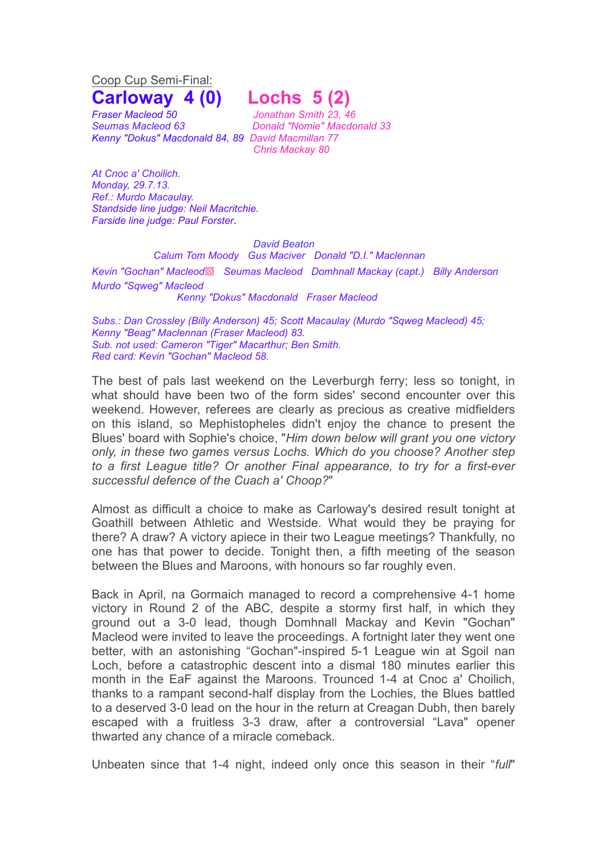Coop Cup Semi-Final:

*Fraser Macleod 50 Jonathan Smith 23, 46 Kenny "Dokus" Macdonald 84, 89 David Macmillan 77*

## **Carloway 4 (0) Lochs 5 (2)**

*Seumas Macleod 63 Donald "Nomie" Macdonald 33 Chris Mackay 80*

*At Cnoc a' Choilich. Monday, 29.7.13. Ref.: Murdo Macaulay. Standside line judge: Neil Macritchie. Farside line judge: Paul Forster*.

## *David Beaton*

*Calum Tom Moody Gus Maciver Donald "D.I." Maclennan Kevin "Gochan" Macleod*▩ *Seumas Macleod Domhnall Mackay (capt.) Billy Anderson Murdo "Sqweg" Macleod Kenny "Dokus" Macdonald Fraser Macleod*

*Subs.: Dan Crossley (Billy Anderson) 45; Scott Macaulay (Murdo "Sqweg Macleod) 45; Kenny "Beag" Maclennan (Fraser Macleod) 83. Sub. not used: Cameron "Tiger" Macarthur; Ben Smith. Red card: Kevin "Gochan" Macleod 58.*

The best of pals last weekend on the Leverburgh ferry; less so tonight, in what should have been two of the form sides' second encounter over this weekend. However, referees are clearly as precious as creative midfielders on this island, so Mephistopheles didn't enjoy the chance to present the Blues' board with Sophie's choice, "*Him down below will grant you one victory only, in these two games versus Lochs. Which do you choose? Another step to a first League title? Or another Final appearance, to try for a first-ever successful defence of the Cuach a' Choop?*"

Almost as difficult a choice to make as Carloway's desired result tonight at Goathill between Athletic and Westside. What would they be praying for there? A draw? A victory apiece in their two League meetings? Thankfully, no one has that power to decide. Tonight then, a fifth meeting of the season between the Blues and Maroons, with honours so far roughly even.

Back in April, na Gormaich managed to record a comprehensive 4-1 home victory in Round 2 of the ABC, despite a stormy first half, in which they ground out a 3-0 lead, though Domhnall Mackay and Kevin "Gochan" Macleod were invited to leave the proceedings. A fortnight later they went one better, with an astonishing "Gochan"-inspired 5-1 League win at Sgoil nan Loch, before a catastrophic descent into a dismal 180 minutes earlier this month in the EaF against the Maroons. Trounced 1-4 at Cnoc a' Choilich, thanks to a rampant second-half display from the Lochies, the Blues battled to a deserved 3-0 lead on the hour in the return at Creagan Dubh, then barely escaped with a fruitless 3-3 draw, after a controversial "Lava" opener thwarted any chance of a miracle comeback.

Unbeaten since that 1-4 night, indeed only once this season in their "*full*"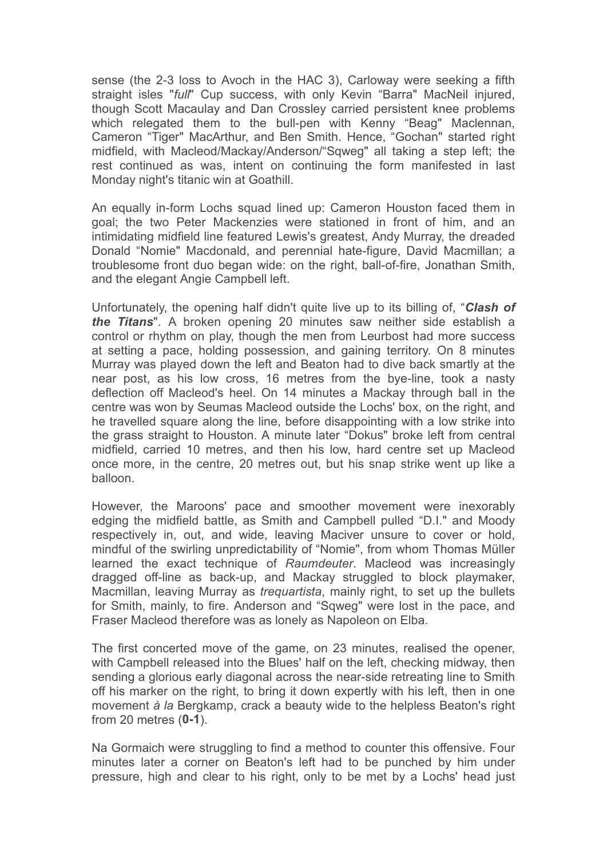sense (the 2-3 loss to Avoch in the HAC 3), Carloway were seeking a fifth straight isles "*full*" Cup success, with only Kevin "Barra" MacNeil injured, though Scott Macaulay and Dan Crossley carried persistent knee problems which relegated them to the bull-pen with Kenny "Beag" Maclennan, Cameron "Tiger" MacArthur, and Ben Smith. Hence, "Gochan" started right midfield, with Macleod/Mackay/Anderson/"Sqweg" all taking a step left; the rest continued as was, intent on continuing the form manifested in last Monday night's titanic win at Goathill.

An equally in-form Lochs squad lined up: Cameron Houston faced them in goal; the two Peter Mackenzies were stationed in front of him, and an intimidating midfield line featured Lewis's greatest, Andy Murray, the dreaded Donald "Nomie" Macdonald, and perennial hate-figure, David Macmillan; a troublesome front duo began wide: on the right, ball-of-fire, Jonathan Smith, and the elegant Angie Campbell left.

Unfortunately, the opening half didn't quite live up to its billing of, "*Clash of the Titans*". A broken opening 20 minutes saw neither side establish a control or rhythm on play, though the men from Leurbost had more success at setting a pace, holding possession, and gaining territory. On 8 minutes Murray was played down the left and Beaton had to dive back smartly at the near post, as his low cross, 16 metres from the bye-line, took a nasty deflection off Macleod's heel. On 14 minutes a Mackay through ball in the centre was won by Seumas Macleod outside the Lochs' box, on the right, and he travelled square along the line, before disappointing with a low strike into the grass straight to Houston. A minute later "Dokus" broke left from central midfield, carried 10 metres, and then his low, hard centre set up Macleod once more, in the centre, 20 metres out, but his snap strike went up like a balloon.

However, the Maroons' pace and smoother movement were inexorably edging the midfield battle, as Smith and Campbell pulled "D.I." and Moody respectively in, out, and wide, leaving Maciver unsure to cover or hold, mindful of the swirling unpredictability of "Nomie", from whom Thomas Müller learned the exact technique of *Raumdeuter*. Macleod was increasingly dragged off-line as back-up, and Mackay struggled to block playmaker, Macmillan, leaving Murray as *trequartista*, mainly right, to set up the bullets for Smith, mainly, to fire. Anderson and "Sqweg" were lost in the pace, and Fraser Macleod therefore was as lonely as Napoleon on Elba.

The first concerted move of the game, on 23 minutes, realised the opener, with Campbell released into the Blues' half on the left, checking midway, then sending a glorious early diagonal across the near-side retreating line to Smith off his marker on the right, to bring it down expertly with his left, then in one movement *à la* Bergkamp, crack a beauty wide to the helpless Beaton's right from 20 metres (**0-1**).

Na Gormaich were struggling to find a method to counter this offensive. Four minutes later a corner on Beaton's left had to be punched by him under pressure, high and clear to his right, only to be met by a Lochs' head just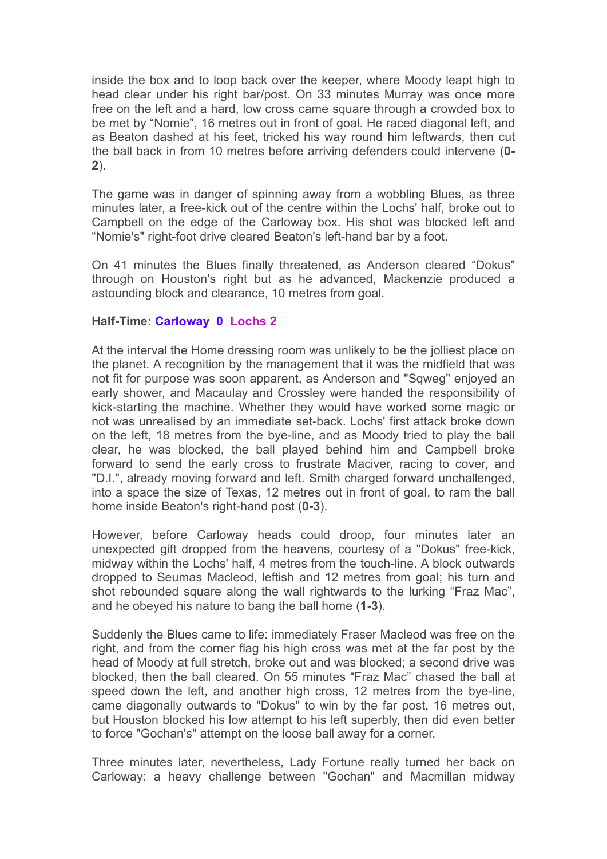inside the box and to loop back over the keeper, where Moody leapt high to head clear under his right bar/post. On 33 minutes Murray was once more free on the left and a hard, low cross came square through a crowded box to be met by "Nomie", 16 metres out in front of goal. He raced diagonal left, and as Beaton dashed at his feet, tricked his way round him leftwards, then cut the ball back in from 10 metres before arriving defenders could intervene (**0- 2**).

The game was in danger of spinning away from a wobbling Blues, as three minutes later, a free-kick out of the centre within the Lochs' half, broke out to Campbell on the edge of the Carloway box. His shot was blocked left and "Nomie's" right-foot drive cleared Beaton's left-hand bar by a foot.

On 41 minutes the Blues finally threatened, as Anderson cleared "Dokus" through on Houston's right but as he advanced, Mackenzie produced a astounding block and clearance, 10 metres from goal.

## **Half-Time: Carloway 0 Lochs 2**

At the interval the Home dressing room was unlikely to be the jolliest place on the planet. A recognition by the management that it was the midfield that was not fit for purpose was soon apparent, as Anderson and "Sqweg" enjoyed an early shower, and Macaulay and Crossley were handed the responsibility of kick-starting the machine. Whether they would have worked some magic or not was unrealised by an immediate set-back. Lochs' first attack broke down on the left, 18 metres from the bye-line, and as Moody tried to play the ball clear, he was blocked, the ball played behind him and Campbell broke forward to send the early cross to frustrate Maciver, racing to cover, and "D.I.", already moving forward and left. Smith charged forward unchallenged, into a space the size of Texas, 12 metres out in front of goal, to ram the ball home inside Beaton's right-hand post (**0-3**).

However, before Carloway heads could droop, four minutes later an unexpected gift dropped from the heavens, courtesy of a "Dokus" free-kick, midway within the Lochs' half, 4 metres from the touch-line. A block outwards dropped to Seumas Macleod, leftish and 12 metres from goal; his turn and shot rebounded square along the wall rightwards to the lurking "Fraz Mac", and he obeyed his nature to bang the ball home (**1-3**).

Suddenly the Blues came to life: immediately Fraser Macleod was free on the right, and from the corner flag his high cross was met at the far post by the head of Moody at full stretch, broke out and was blocked; a second drive was blocked, then the ball cleared. On 55 minutes "Fraz Mac" chased the ball at speed down the left, and another high cross, 12 metres from the bye-line, came diagonally outwards to "Dokus" to win by the far post, 16 metres out, but Houston blocked his low attempt to his left superbly, then did even better to force "Gochan's" attempt on the loose ball away for a corner.

Three minutes later, nevertheless, Lady Fortune really turned her back on Carloway: a heavy challenge between "Gochan" and Macmillan midway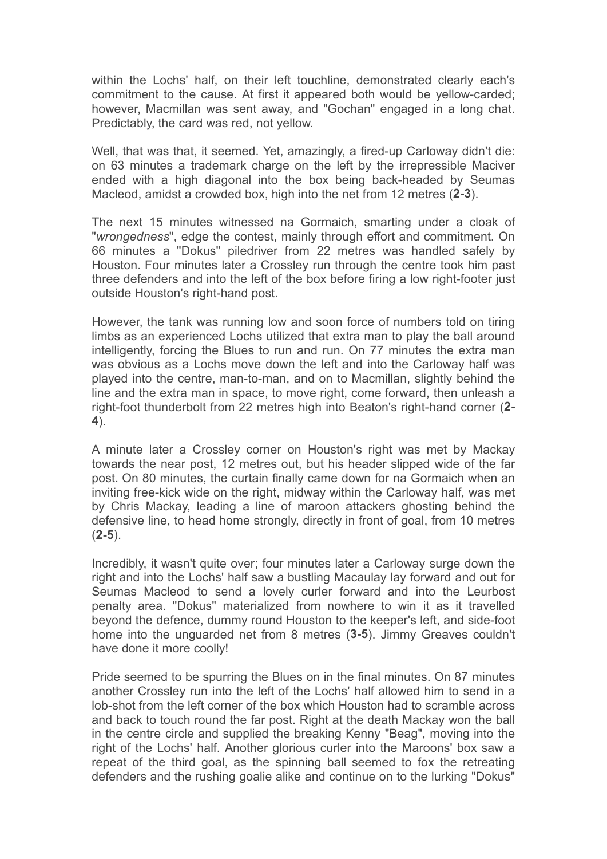within the Lochs' half, on their left touchline, demonstrated clearly each's commitment to the cause. At first it appeared both would be yellow-carded; however, Macmillan was sent away, and "Gochan" engaged in a long chat. Predictably, the card was red, not yellow.

Well, that was that, it seemed. Yet, amazingly, a fired-up Carloway didn't die: on 63 minutes a trademark charge on the left by the irrepressible Maciver ended with a high diagonal into the box being back-headed by Seumas Macleod, amidst a crowded box, high into the net from 12 metres (**2-3**).

The next 15 minutes witnessed na Gormaich, smarting under a cloak of "*wrongedness*", edge the contest, mainly through effort and commitment. On 66 minutes a "Dokus" piledriver from 22 metres was handled safely by Houston. Four minutes later a Crossley run through the centre took him past three defenders and into the left of the box before firing a low right-footer just outside Houston's right-hand post.

However, the tank was running low and soon force of numbers told on tiring limbs as an experienced Lochs utilized that extra man to play the ball around intelligently, forcing the Blues to run and run. On 77 minutes the extra man was obvious as a Lochs move down the left and into the Carloway half was played into the centre, man-to-man, and on to Macmillan, slightly behind the line and the extra man in space, to move right, come forward, then unleash a right-foot thunderbolt from 22 metres high into Beaton's right-hand corner (**2- 4**).

A minute later a Crossley corner on Houston's right was met by Mackay towards the near post, 12 metres out, but his header slipped wide of the far post. On 80 minutes, the curtain finally came down for na Gormaich when an inviting free-kick wide on the right, midway within the Carloway half, was met by Chris Mackay, leading a line of maroon attackers ghosting behind the defensive line, to head home strongly, directly in front of goal, from 10 metres (**2-5**).

Incredibly, it wasn't quite over; four minutes later a Carloway surge down the right and into the Lochs' half saw a bustling Macaulay lay forward and out for Seumas Macleod to send a lovely curler forward and into the Leurbost penalty area. "Dokus" materialized from nowhere to win it as it travelled beyond the defence, dummy round Houston to the keeper's left, and side-foot home into the unguarded net from 8 metres (**3-5**). Jimmy Greaves couldn't have done it more coolly!

Pride seemed to be spurring the Blues on in the final minutes. On 87 minutes another Crossley run into the left of the Lochs' half allowed him to send in a lob-shot from the left corner of the box which Houston had to scramble across and back to touch round the far post. Right at the death Mackay won the ball in the centre circle and supplied the breaking Kenny "Beag", moving into the right of the Lochs' half. Another glorious curler into the Maroons' box saw a repeat of the third goal, as the spinning ball seemed to fox the retreating defenders and the rushing goalie alike and continue on to the lurking "Dokus"